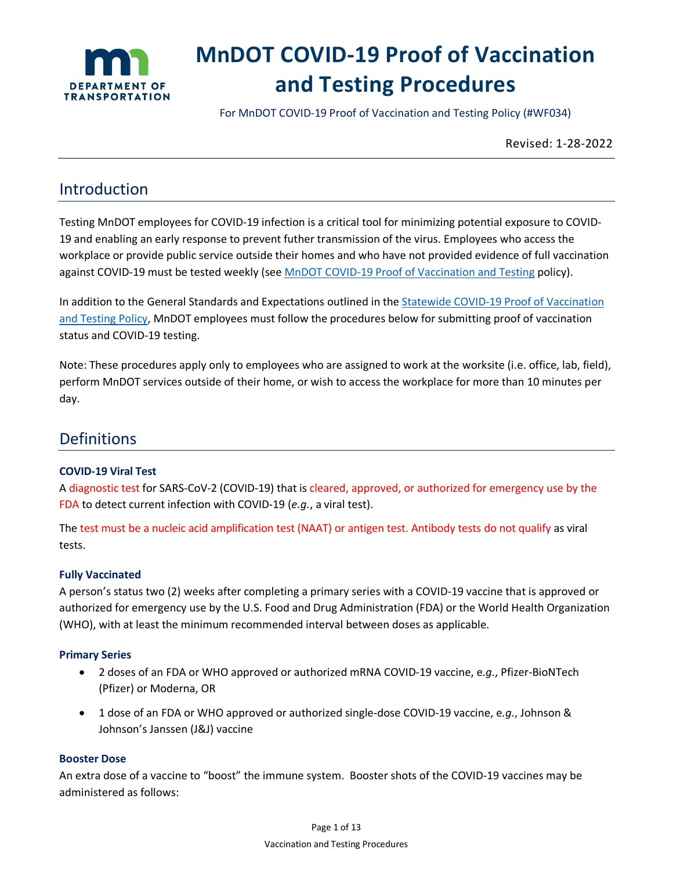

# **MnDOT COVID-19 Proof of Vaccination and Testing Procedures**

For MnDOT COVID-19 Proof of Vaccination and Testing Policy (#WF034)

Revised: 1-28-2022

## Introduction

Testing MnDOT employees for COVID-19 infection is a critical tool for minimizing potential exposure to COVID-19 and enabling an early response to prevent futher transmission of the virus. Employees who access the workplace or provide public service outside their homes and who have not provided evidence of full vaccination against COVID-19 must be tested weekly (see [MnDOT COVID-19 Proof of Vaccination and Testing](https://www.dot.state.mn.us/policy/hr/wf034.html) policy).

In addition to the General Standards and Expectations outlined in the **Statewide COVID-19 Proof of Vaccination** [and Testing Policy,](https://mn.gov/mmb-stat/policies/1446-covid19testingvaccination.pdf) MnDOT employees must follow the procedures below for submitting proof of vaccination status and COVID-19 testing.

Note: These procedures apply only to employees who are assigned to work at the worksite (i.e. office, lab, field), perform MnDOT services outside of their home, or wish to access the workplace for more than 10 minutes per day.

### **Definitions**

#### **COVID-19 Viral Test**

A diagnostic test for SARS-CoV-2 (COVID-19) that is cleared, approved, or authorized for emergency use by the FDA to detect current infection with COVID-19 (*e.g.*, a viral test).

The test must be a nucleic acid amplification test (NAAT) or antigen test. Antibody tests do not qualify as viral tests.

#### **Fully Vaccinated**

A person's status two (2) weeks after completing a primary series with a COVID-19 vaccine that is approved or authorized for emergency use by the U.S. Food and Drug Administration (FDA) or the World Health Organization (WHO), with at least the minimum recommended interval between doses as applicable.

#### **Primary Series**

- 2 doses of an FDA or WHO approved or authorized mRNA COVID-19 vaccine, e*.g.*, Pfizer-BioNTech (Pfizer) or Moderna, OR
- 1 dose of an FDA or WHO approved or authorized single-dose COVID-19 vaccine, e*.g.*, Johnson & Johnson's Janssen (J&J) vaccine

#### **Booster Dose**

An extra dose of a vaccine to "boost" the immune system. Booster shots of the COVID-19 vaccines may be administered as follows: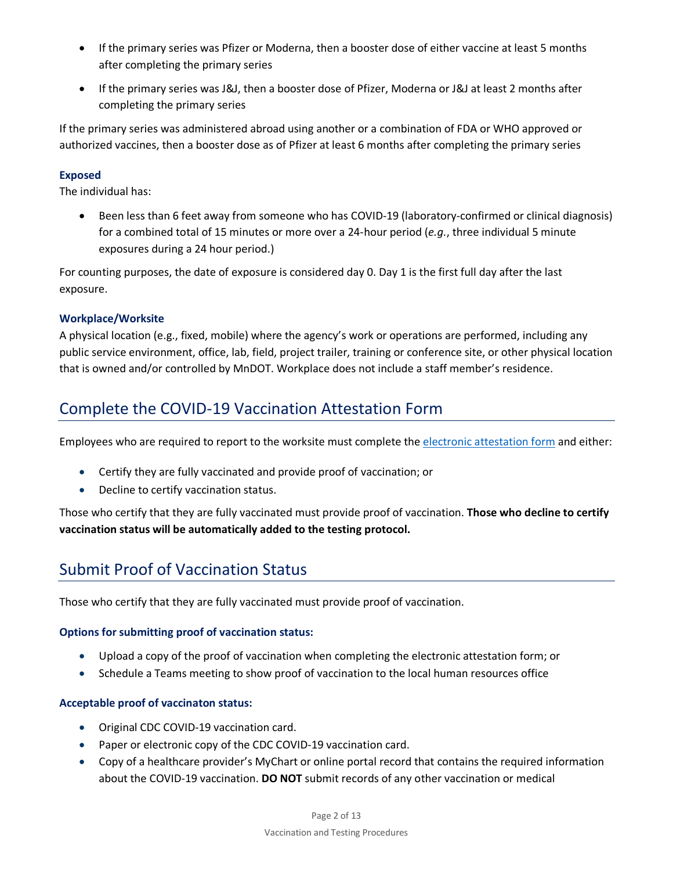- If the primary series was Pfizer or Moderna, then a booster dose of either vaccine at least 5 months after completing the primary series
- If the primary series was J&J, then a booster dose of Pfizer, Moderna or J&J at least 2 months after completing the primary series

If the primary series was administered abroad using another or a combination of FDA or WHO approved or authorized vaccines, then a booster dose as of Pfizer at least 6 months after completing the primary series

#### **Exposed**

The individual has:

• Been less than 6 feet away from someone who has COVID-19 (laboratory-confirmed or clinical diagnosis) for a combined total of 15 minutes or more over a 24-hour period (*e.g.*, three individual 5 minute exposures during a 24 hour period.)

For counting purposes, the date of exposure is considered day 0. Day 1 is the first full day after the last exposure.

#### **Workplace/Worksite**

A physical location (e.g., fixed, mobile) where the agency's work or operations are performed, including any public service environment, office, lab, field, project trailer, training or conference site, or other physical location that is owned and/or controlled by MnDOT. Workplace does not include a staff member's residence.

# Complete the COVID-19 Vaccination Attestation Form

Employees who are required to report to the worksite must complete the [electronic attestation form](https://mbpm/MetastormGuest/eForm.aspx?Map=Validation&ForceLogin=False&Client=External) and either:

- Certify they are fully vaccinated and provide proof of vaccination; or
- Decline to certify vaccination status.

Those who certify that they are fully vaccinated must provide proof of vaccination. **Those who decline to certify vaccination status will be automatically added to the testing protocol.** 

# Submit Proof of Vaccination Status

Those who certify that they are fully vaccinated must provide proof of vaccination.

#### **Options for submitting proof of vaccination status:**

- Upload a copy of the proof of vaccination when completing the electronic attestation form; or
- Schedule a Teams meeting to show proof of vaccination to the local human resources office

#### **Acceptable proof of vaccinaton status:**

- Original CDC COVID-19 vaccination card.
- Paper or electronic copy of the CDC COVID-19 vaccination card.
- Copy of a healthcare provider's MyChart or online portal record that contains the required information about the COVID-19 vaccination. **DO NOT** submit records of any other vaccination or medical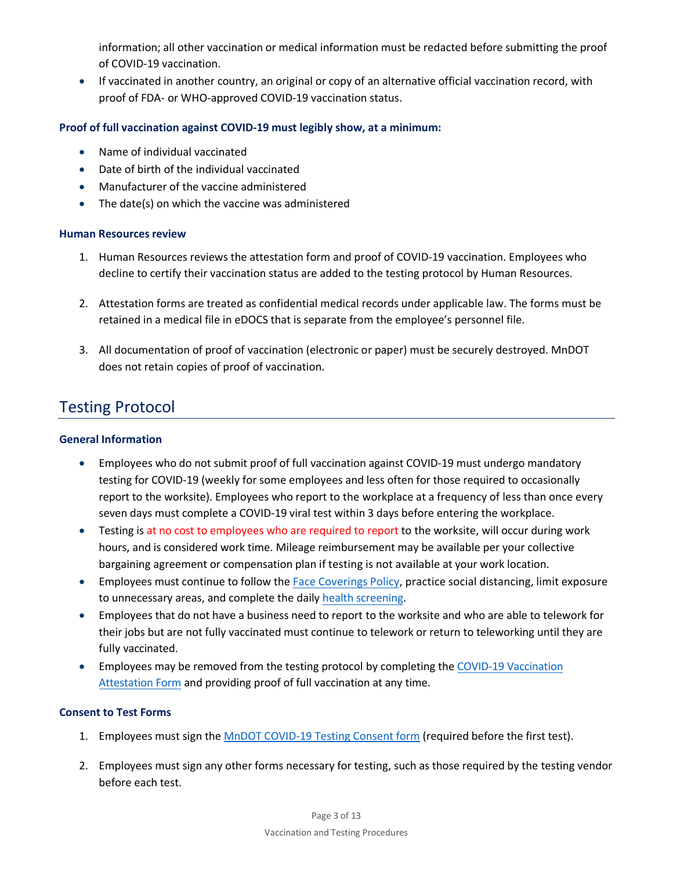information; all other vaccination or medical information must be redacted before submitting the proof of COVID-19 vaccination.

• If vaccinated in another country, an original or copy of an alternative official vaccination record, with proof of FDA- or WHO-approved COVID-19 vaccination status.

#### **Proof of full vaccination against COVID-19 must legibly show, at a minimum:**

- Name of individual vaccinated
- Date of birth of the individual vaccinated
- Manufacturer of the vaccine administered
- The date(s) on which the vaccine was administered

#### **Human Resources review**

- 1. Human Resources reviews the attestation form and proof of COVID-19 vaccination. Employees who decline to certify their vaccination status are added to the testing protocol by Human Resources.
- 2. Attestation forms are treated as confidential medical records under applicable law. The forms must be retained in a medical file in eDOCS that is separate from the employee's personnel file.
- 3. All documentation of proof of vaccination (electronic or paper) must be securely destroyed. MnDOT does not retain copies of proof of vaccination.

### Testing Protocol

#### **General Information**

- Employees who do not submit proof of full vaccination against COVID-19 must undergo mandatory testing for COVID-19 (weekly for some employees and less often for those required to occasionally report to the worksite). Employees who report to the workplace at a frequency of less than once every seven days must complete a COVID-19 viral test within 3 days before entering the workplace.
- Testing is at no cost to employees who are required to report to the worksite, will occur during work hours, and is considered work time. Mileage reimbursement may be available per your collective bargaining agreement or compensation plan if testing is not available at your work location.
- Employees must continue to follow the [Face Coverings Policy,](https://www.dot.state.mn.us/policy/hr/wf030.html) practice social distancing, limit exposure to unnecessary areas, and complete the daily [health screening.](https://forms.office.com/Pages/ResponsePage.aspx?id=RrAU68QkGUWPJricIVmCjM50NVXyRw5JgAyZcSAvigxUQkJHN0dUWUI2QVdKSFJZNkFGVEpYSUlEUCQlQCN0PWcu)
- Employees that do not have a business need to report to the worksite and who are able to telework for their jobs but are not fully vaccinated must continue to telework or return to teleworking until they are fully vaccinated.
- Employees may be removed from the testing protocol by completing the [COVID-19 Vaccination](https://mbpm/MetastormGuest/eForm.aspx?Map=Validation&ForceLogin=False&Client=External) [Attestation Form](https://mbpm/MetastormGuest/eForm.aspx?Map=Validation&ForceLogin=False&Client=External) and providing proof of full vaccination at any time.

#### **Consent to Test Forms**

- 1. Employees must sign th[e MnDOT COVID-19 Testing Consent form](https://mbpm/MetastormGuest/eForm.aspx?Map=Consent&ForceLogin=False&Client=External) (required before the first test).
- 2. Employees must sign any other forms necessary for testing, such as those required by the testing vendor before each test.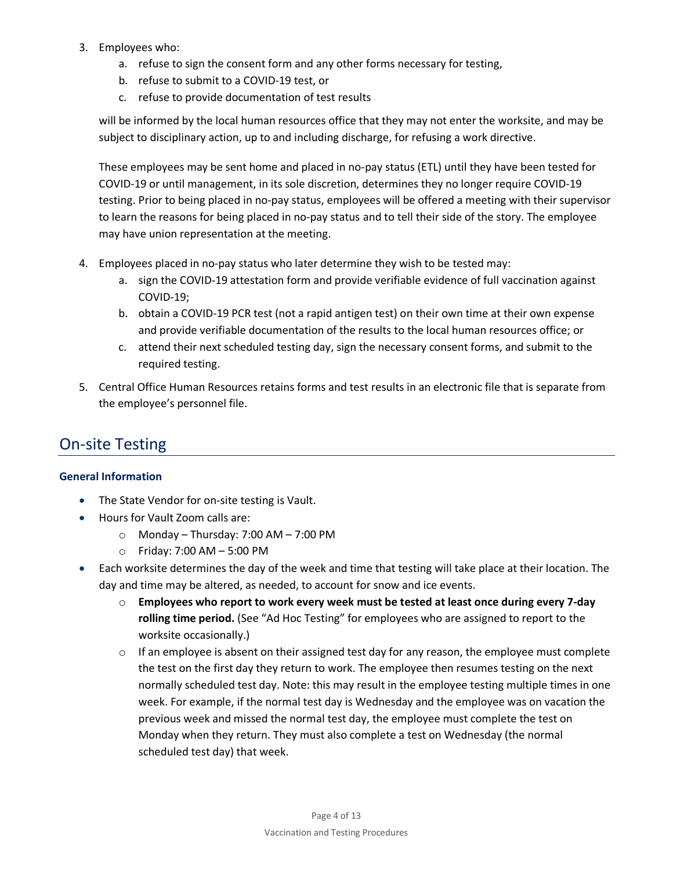- 3. Employees who:
	- a. refuse to sign the consent form and any other forms necessary for testing,
	- b. refuse to submit to a COVID-19 test, or
	- c. refuse to provide documentation of test results

will be informed by the local human resources office that they may not enter the worksite, and may be subject to disciplinary action, up to and including discharge, for refusing a work directive.

These employees may be sent home and placed in no-pay status (ETL) until they have been tested for COVID-19 or until management, in its sole discretion, determines they no longer require COVID-19 testing. Prior to being placed in no-pay status, employees will be offered a meeting with their supervisor to learn the reasons for being placed in no-pay status and to tell their side of the story. The employee may have union representation at the meeting.

- 4. Employees placed in no-pay status who later determine they wish to be tested may:
	- a. sign the COVID-19 attestation form and provide verifiable evidence of full vaccination against COVID-19;
	- b. obtain a COVID-19 PCR test (not a rapid antigen test) on their own time at their own expense and provide verifiable documentation of the results to the local human resources office; or
	- c. attend their next scheduled testing day, sign the necessary consent forms, and submit to the required testing.
- 5. Central Office Human Resources retains forms and test results in an electronic file that is separate from the employee's personnel file.

# On-site Testing

#### **General Information**

- The State Vendor for on-site testing is Vault.
- Hours for Vault Zoom calls are:
	- $\circ$  Monday Thursday: 7:00 AM 7:00 PM
	- o Friday: 7:00 AM 5:00 PM
- Each worksite determines the day of the week and time that testing will take place at their location. The day and time may be altered, as needed, to account for snow and ice events.
	- o **Employees who report to work every week must be tested at least once during every 7-day rolling time period.** (See "Ad Hoc Testing" for employees who are assigned to report to the worksite occasionally.)
	- $\circ$  If an employee is absent on their assigned test day for any reason, the employee must complete the test on the first day they return to work. The employee then resumes testing on the next normally scheduled test day. Note: this may result in the employee testing multiple times in one week. For example, if the normal test day is Wednesday and the employee was on vacation the previous week and missed the normal test day, the employee must complete the test on Monday when they return. They must also complete a test on Wednesday (the normal scheduled test day) that week.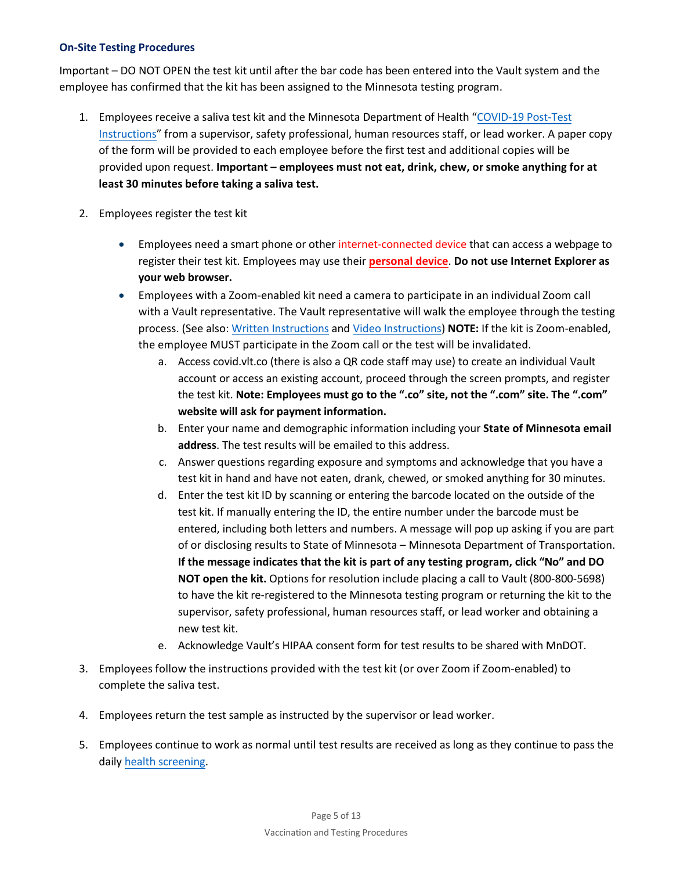#### **On-Site Testing Procedures**

Important – DO NOT OPEN the test kit until after the bar code has been entered into the Vault system and the employee has confirmed that the kit has been assigned to the Minnesota testing program.

- 1. Employees receive a saliva test kit and the Minnesota Department of Health "[COVID-19 Post-Test](https://www.health.state.mn.us/diseases/coronavirus/waiting.pdf) [Instructions"](https://www.health.state.mn.us/diseases/coronavirus/waiting.pdf) from a supervisor, safety professional, human resources staff, or lead worker. A paper copy of the form will be provided to each employee before the first test and additional copies will be provided upon request. **Important – employees must not eat, drink, chew, or smoke anything for at least 30 minutes before taking a saliva test.**
- 2. Employees register the test kit
	- Employees need a smart phone or other internet-connected device that can access a webpage to register their test kit. Employees may use their **personal device**. **Do not use Internet Explorer as your web browser.**
	- Employees with a Zoom-enabled kit need a camera to participate in an individual Zoom call with a Vault representative. The Vault representative will walk the employee through the testing process. (See also: [Written Instructions](https://edocs-public.dot.state.mn.us/edocs_public/DMResultSet/download?docId=15255807) and [Video Instructions\)](https://youtu.be/eEsHPX1cwD4) **NOTE:** If the kit is Zoom-enabled, the employee MUST participate in the Zoom call or the test will be invalidated.
		- a. Access covid.vlt.co (there is also a QR code staff may use) to create an individual Vault account or access an existing account, proceed through the screen prompts, and register the test kit. **Note: Employees must go to the ".co" site, not the ".com" site. The ".com" website will ask for payment information.**
		- b. Enter your name and demographic information including your **State of Minnesota email address**. The test results will be emailed to this address.
		- c. Answer questions regarding exposure and symptoms and acknowledge that you have a test kit in hand and have not eaten, drank, chewed, or smoked anything for 30 minutes.
		- d. Enter the test kit ID by scanning or entering the barcode located on the outside of the test kit. If manually entering the ID, the entire number under the barcode must be entered, including both letters and numbers. A message will pop up asking if you are part of or disclosing results to State of Minnesota – Minnesota Department of Transportation. **If the message indicates that the kit is part of any testing program, click "No" and DO NOT open the kit.** Options for resolution include placing a call to Vault (800-800-5698) to have the kit re-registered to the Minnesota testing program or returning the kit to the supervisor, safety professional, human resources staff, or lead worker and obtaining a new test kit.
		- e. Acknowledge Vault's HIPAA consent form for test results to be shared with MnDOT.
- 3. Employees follow the instructions provided with the test kit (or over Zoom if Zoom-enabled) to complete the saliva test.
- 4. Employees return the test sample as instructed by the supervisor or lead worker.
- 5. Employees continue to work as normal until test results are received as long as they continue to pass the daily he[alth screening.](https://forms.office.com/Pages/ResponsePage.aspx?id=RrAU68QkGUWPJricIVmCjM50NVXyRw5JgAyZcSAvigxUQkJHN0dUWUI2QVdKSFJZNkFGVEpYSUlEUCQlQCN0PWcu)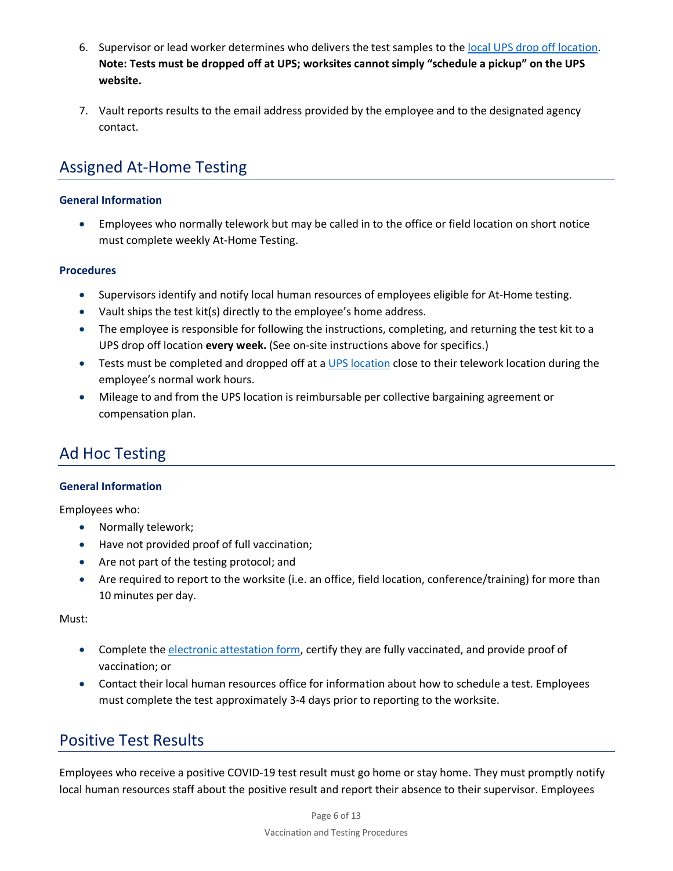- 6. Supervisor or lead worker determines who delivers the test samples to the [local UPS drop off location.](https://www.ups.com/dropoff?loc=en_US) **Note: Tests must be dropped off at UPS; worksites cannot simply "schedule a pickup" on the UPS website.**
- 7. Vault reports results to the email address provided by the employee and to the designated agency contact.

# Assigned At-Home Testing

#### **General Information**

• Employees who normally telework but may be called in to the office or field location on short notice must complete weekly At-Home Testing.

#### **Procedures**

- Supervisors identify and notify local human resources of employees eligible for At-Home testing.
- Vault ships the test kit(s) directly to the employee's home address.
- The employee is responsible for following the instructions, completing, and returning the test kit to a UPS drop off location **every week.** (See on-site instructions above for specifics.)
- Tests must be completed and dropped off at a [UPS location](https://www.ups.com/dropoff?loc=en_US) close to their telework location during the employee's normal work hours.
- Mileage to and from the UPS location is reimbursable per collective bargaining agreement or compensation plan.

# Ad Hoc Testing

#### **General Information**

Employees who:

- Normally telework;
- Have not provided proof of full vaccination;
- Are not part of the testing protocol; and
- Are required to report to the worksite (i.e. an office, field location, conference/training) for more than 10 minutes per day.

Must:

- Complete the [electronic attestation form,](https://mbpm/MetastormGuest/eForm.aspx?Map=Validation&ForceLogin=False&Client=External) certify they are fully vaccinated, and provide proof of vaccination; or
- Contact their local human resources office for information about how to schedule a test. Employees must complete the test approximately 3-4 days prior to reporting to the worksite.

### Positive Test Results

Employees who receive a positive COVID-19 test result must go home or stay home. They must promptly notify local human resources staff about the positive result and report their absence to their supervisor. Employees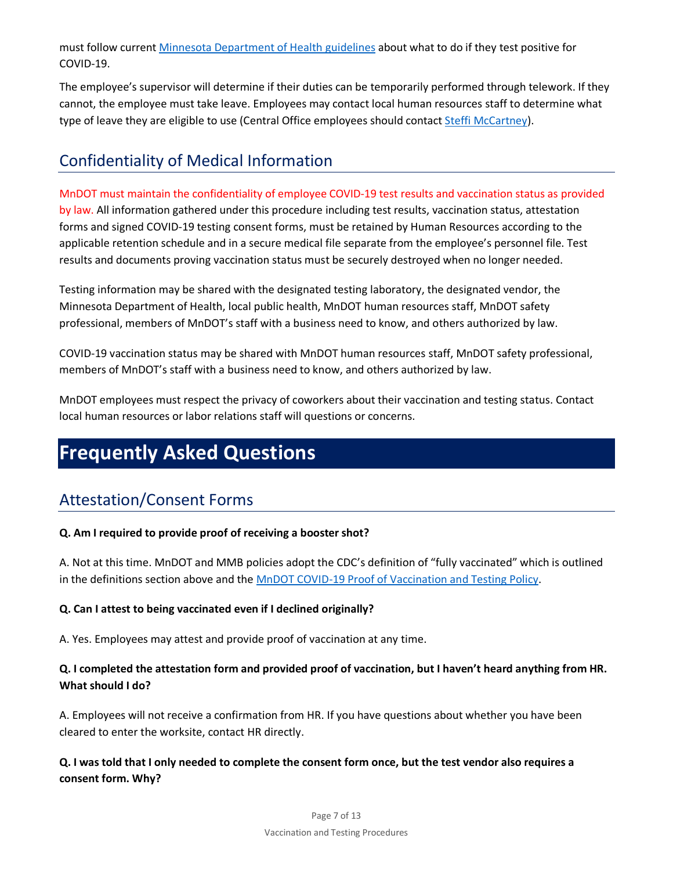must follow current [Minnesota Department of Health guidelines](https://www.health.state.mn.us/diseases/coronavirus/sick.html) about what to do if they test positive for COVID-19.

The employee's supervisor will determine if their duties can be temporarily performed through telework. If they cannot, the employee must take leave. Employees may contact local human resources staff to determine what type of leave they are eligible to use (Central Office employees should contact [Steffi McCartney\)](mailto:stephanie.mccartney@state.mn.us).

# Confidentiality of Medical Information

### MnDOT must maintain the confidentiality of employee COVID-19 test results and vaccination status as provided

by law. All information gathered under this procedure including test results, vaccination status, attestation forms and signed COVID-19 testing consent forms, must be retained by Human Resources according to the applicable retention schedule and in a secure medical file separate from the employee's personnel file. Test results and documents proving vaccination status must be securely destroyed when no longer needed.

Testing information may be shared with the designated testing laboratory, the designated vendor, the Minnesota Department of Health, local public health, MnDOT human resources staff, MnDOT safety professional, members of MnDOT's staff with a business need to know, and others authorized by law.

COVID-19 vaccination status may be shared with MnDOT human resources staff, MnDOT safety professional, members of MnDOT's staff with a business need to know, and others authorized by law.

MnDOT employees must respect the privacy of coworkers about their vaccination and testing status. Contact local human resources or labor relations staff will questions or concerns.

# **Frequently Asked Questions**

# Attestation/Consent Forms

#### **Q. Am I required to provide proof of receiving a booster shot?**

A. Not at this time. MnDOT and MMB policies adopt the CDC's definition of "fully vaccinated" which is outlined in the definitions section above and the [MnDOT COVID-19 Proof of Vaccination and Testing Policy.](https://edocs-public.dot.state.mn.us/edocs_public/DMResultSet/download?docId=15242857)

### **Q. Can I attest to being vaccinated even if I declined originally?**

A. Yes. Employees may attest and provide proof of vaccination at any time.

### **Q. I completed the attestation form and provided proof of vaccination, but I haven't heard anything from HR. What should I do?**

A. Employees will not receive a confirmation from HR. If you have questions about whether you have been cleared to enter the worksite, contact HR directly.

**Q. I was told that I only needed to complete the consent form once, but the test vendor also requires a consent form. Why?**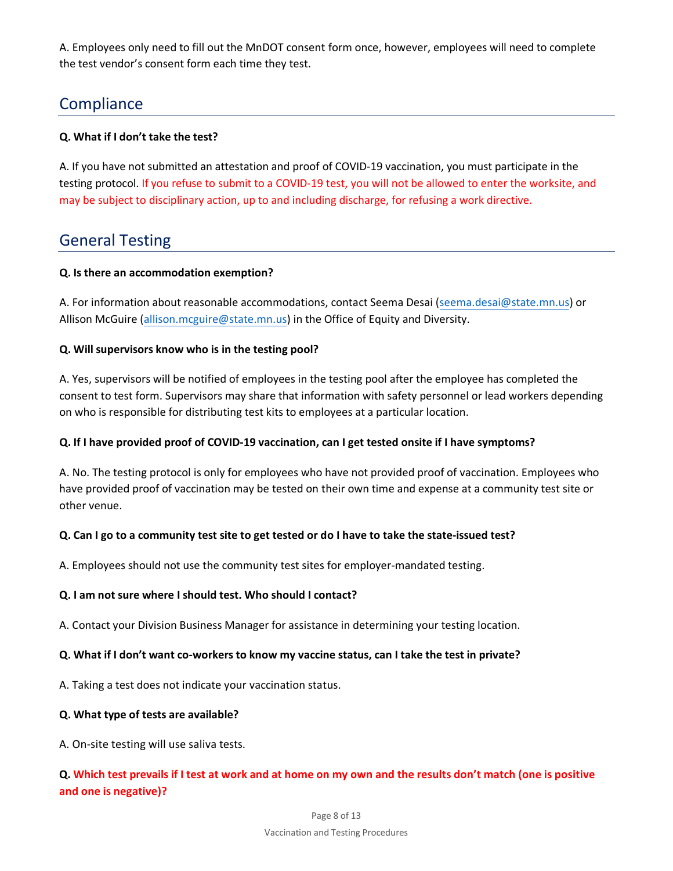A. Employees only need to fill out the MnDOT consent form once, however, employees will need to complete the test vendor's consent form each time they test.

# **Compliance**

#### **Q. What if I don't take the test?**

A. If you have not submitted an attestation and proof of COVID-19 vaccination, you must participate in the testing protocol. If you refuse to submit to a COVID-19 test, you will not be allowed to enter the worksite, and may be subject to disciplinary action, up to and including discharge, for refusing a work directive.

# General Testing

#### **Q. Is there an accommodation exemption?**

A. For information about reasonable accommodations, contact Seema Desai [\(seema.desai@state.mn.us\)](mailto:seema.desai@state.mn.us) or Allison McGuire [\(allison.mcguire@state.mn.us\)](mailto:allison.mcguire@state.mn.us) in the Office of Equity and Diversity.

#### **Q. Will supervisors know who is in the testing pool?**

A. Yes, supervisors will be notified of employees in the testing pool after the employee has completed the consent to test form. Supervisors may share that information with safety personnel or lead workers depending on who is responsible for distributing test kits to employees at a particular location.

#### **Q. If I have provided proof of COVID-19 vaccination, can I get tested onsite if I have symptoms?**

A. No. The testing protocol is only for employees who have not provided proof of vaccination. Employees who have provided proof of vaccination may be tested on their own time and expense at a community test site or other venue.

#### **Q. Can I go to a community test site to get tested or do I have to take the state-issued test?**

A. Employees should not use the community test sites for employer-mandated testing.

#### **Q. I am not sure where I should test. Who should I contact?**

A. Contact your Division Business Manager for assistance in determining your testing location.

#### **Q. What if I don't want co-workers to know my vaccine status, can I take the test in private?**

A. Taking a test does not indicate your vaccination status.

#### **Q. What type of tests are available?**

A. On-site testing will use saliva tests.

### **Q. Which test prevails if I test at work and at home on my own and the results don't match (one is positive and one is negative)?**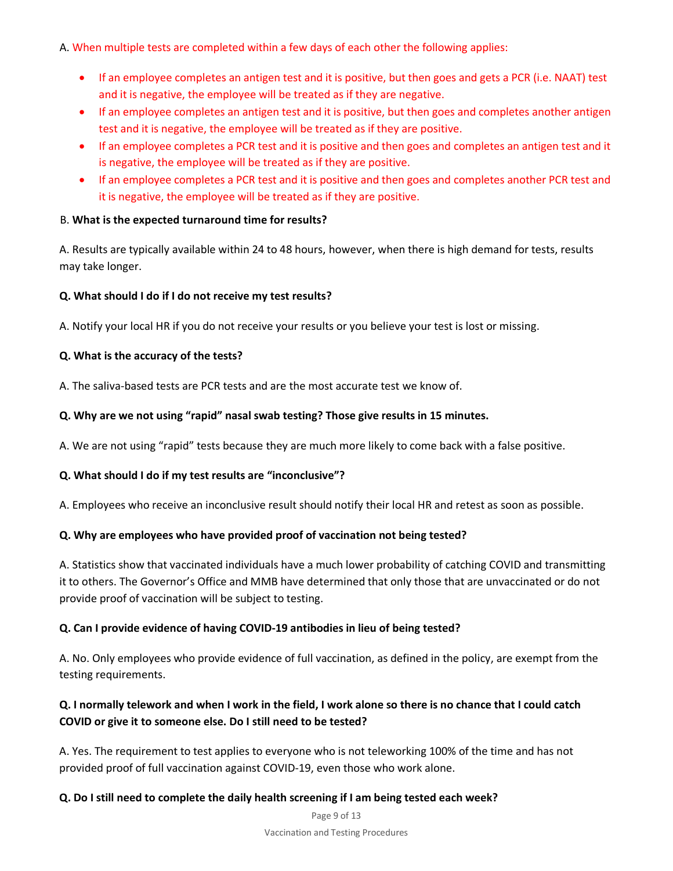A. When multiple tests are completed within a few days of each other the following applies:

- If an employee completes an antigen test and it is positive, but then goes and gets a PCR (i.e. NAAT) test and it is negative, the employee will be treated as if they are negative.
- If an employee completes an antigen test and it is positive, but then goes and completes another antigen test and it is negative, the employee will be treated as if they are positive.
- If an employee completes a PCR test and it is positive and then goes and completes an antigen test and it is negative, the employee will be treated as if they are positive.
- If an employee completes a PCR test and it is positive and then goes and completes another PCR test and it is negative, the employee will be treated as if they are positive.

#### B. **What is the expected turnaround time for results?**

A. Results are typically available within 24 to 48 hours, however, when there is high demand for tests, results may take longer.

#### **Q. What should I do if I do not receive my test results?**

A. Notify your local HR if you do not receive your results or you believe your test is lost or missing.

#### **Q. What is the accuracy of the tests?**

A. The saliva-based tests are PCR tests and are the most accurate test we know of.

#### **Q. Why are we not using "rapid" nasal swab testing? Those give results in 15 minutes.**

A. We are not using "rapid" tests because they are much more likely to come back with a false positive.

#### **Q. What should I do if my test results are "inconclusive"?**

A. Employees who receive an inconclusive result should notify their local HR and retest as soon as possible.

#### **Q. Why are employees who have provided proof of vaccination not being tested?**

A. Statistics show that vaccinated individuals have a much lower probability of catching COVID and transmitting it to others. The Governor's Office and MMB have determined that only those that are unvaccinated or do not provide proof of vaccination will be subject to testing.

#### **Q. Can I provide evidence of having COVID-19 antibodies in lieu of being tested?**

A. No. Only employees who provide evidence of full vaccination, as defined in the policy, are exempt from the testing requirements.

### **Q. I normally telework and when I work in the field, I work alone so there is no chance that I could catch COVID or give it to someone else. Do I still need to be tested?**

A. Yes. The requirement to test applies to everyone who is not teleworking 100% of the time and has not provided proof of full vaccination against COVID-19, even those who work alone.

#### **Q. Do I still need to complete the daily health screening if I am being tested each week?**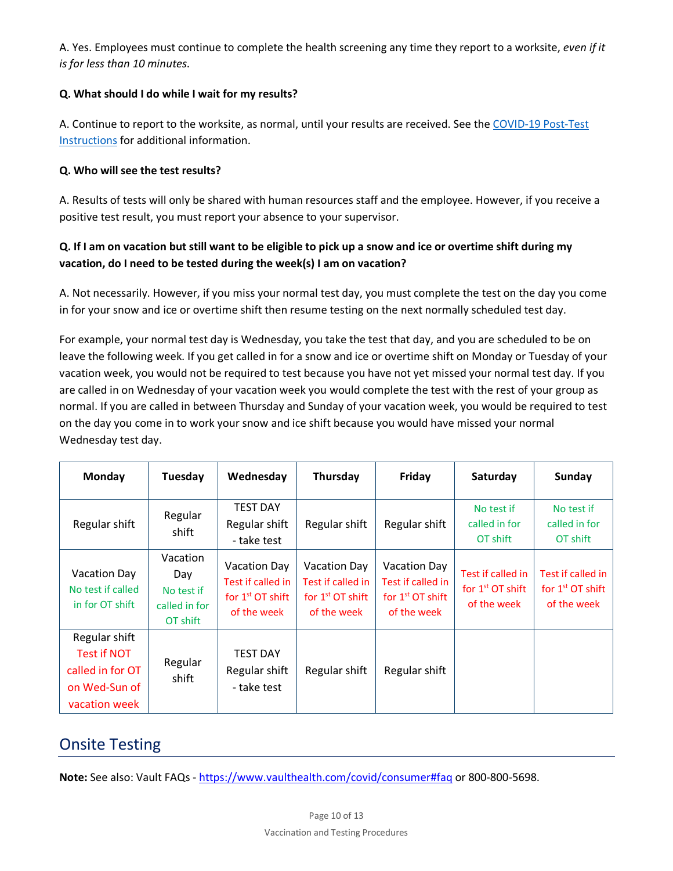A. Yes. Employees must continue to complete the health screening any time they report to a worksite, *even if it is for less than 10 minutes*.

#### **Q. What should I do while I wait for my results?**

A. Continue to report to the worksite, as normal, until your results are received. See the [COVID-19 Post-Test](https://www.health.state.mn.us/diseases/coronavirus/waiting.pdf) [Instructions](https://www.health.state.mn.us/diseases/coronavirus/waiting.pdf) for additional information.

#### **Q. Who will see the test results?**

A. Results of tests will only be shared with human resources staff and the employee. However, if you receive a positive test result, you must report your absence to your supervisor.

### **Q. If I am on vacation but still want to be eligible to pick up a snow and ice or overtime shift during my vacation, do I need to be tested during the week(s) I am on vacation?**

A. Not necessarily. However, if you miss your normal test day, you must complete the test on the day you come in for your snow and ice or overtime shift then resume testing on the next normally scheduled test day.

For example, your normal test day is Wednesday, you take the test that day, and you are scheduled to be on leave the following week. If you get called in for a snow and ice or overtime shift on Monday or Tuesday of your vacation week, you would not be required to test because you have not yet missed your normal test day. If you are called in on Wednesday of your vacation week you would complete the test with the rest of your group as normal. If you are called in between Thursday and Sunday of your vacation week, you would be required to test on the day you come in to work your snow and ice shift because you would have missed your normal Wednesday test day.

| Monday                                                                                    | Tuesday                                                    | Wednesday                                                              | Thursday                                                                      | Friday                                                                        | Saturday                                               | Sunday                                                 |
|-------------------------------------------------------------------------------------------|------------------------------------------------------------|------------------------------------------------------------------------|-------------------------------------------------------------------------------|-------------------------------------------------------------------------------|--------------------------------------------------------|--------------------------------------------------------|
| Regular shift                                                                             | Regular<br>shift                                           | <b>TEST DAY</b><br>Regular shift<br>- take test                        | Regular shift                                                                 | Regular shift                                                                 | No test if<br>called in for<br>OT shift                | No test if<br>called in for<br>OT shift                |
| Vacation Day<br>No test if called<br>in for OT shift                                      | Vacation<br>Day<br>No test if<br>called in for<br>OT shift | Vacation Day<br>Test if called in<br>for $1st$ OT shift<br>of the week | <b>Vacation Day</b><br>Test if called in<br>for $1st$ OT shift<br>of the week | <b>Vacation Day</b><br>Test if called in<br>for $1st$ OT shift<br>of the week | Test if called in<br>for $1st$ OT shift<br>of the week | Test if called in<br>for $1st$ OT shift<br>of the week |
| Regular shift<br><b>Test if NOT</b><br>called in for OT<br>on Wed-Sun of<br>vacation week | Regular<br>shift                                           | <b>TEST DAY</b><br>Regular shift<br>- take test                        | Regular shift                                                                 | Regular shift                                                                 |                                                        |                                                        |

# Onsite Testing

**Note:** See also: Vault FAQs - [https://www.vaulthealth.com/covid/consumer#faq](https://gcc02.safelinks.protection.outlook.com/?url=https%3A%2F%2Fwww.vaulthealth.com%2Fcovid%2Fconsumer%23faq&data=04%7C01%7CAndrea.Barker%40state.mn.us%7C5c8c4646550841e9904908d972fabed3%7Ceb14b04624c445198f26b89c2159828c%7C0%7C0%7C637667243529126706%7CUnknown%7CTWFpbGZsb3d8eyJWIjoiMC4wLjAwMDAiLCJQIjoiV2luMzIiLCJBTiI6Ik1haWwiLCJXVCI6Mn0%3D%7C1000&sdata=kcimnPpVCVoGLVtB93RQSp7%2F4r%2FOu3rypMDHcM5Pw4c%3D&reserved=0) or 800-800-5698.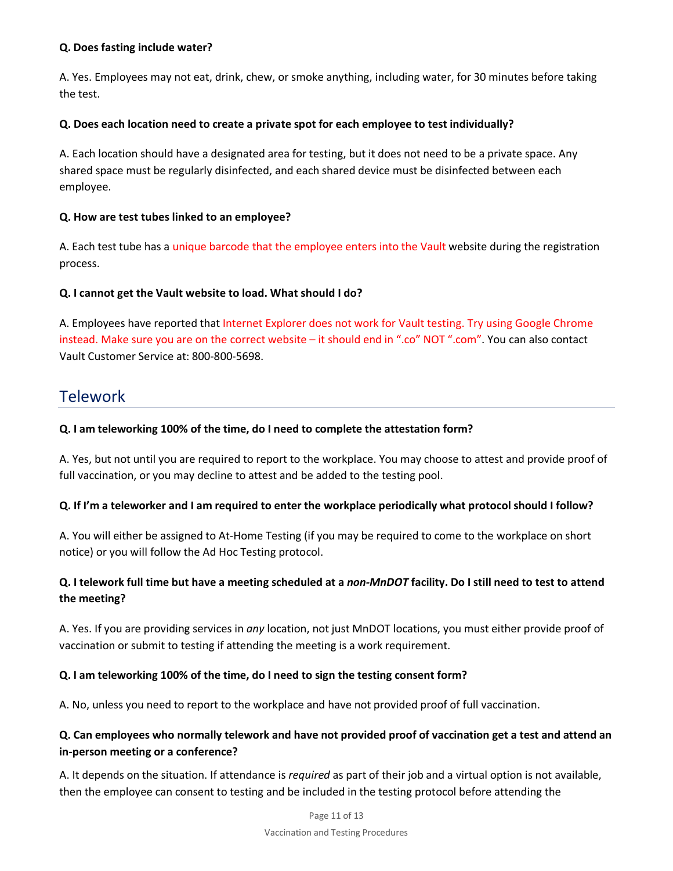#### **Q. Does fasting include water?**

A. Yes. Employees may not eat, drink, chew, or smoke anything, including water, for 30 minutes before taking the test.

#### **Q. Does each location need to create a private spot for each employee to test individually?**

A. Each location should have a designated area for testing, but it does not need to be a private space. Any shared space must be regularly disinfected, and each shared device must be disinfected between each employee.

#### **Q. How are test tubes linked to an employee?**

A. Each test tube has a unique barcode that the employee enters into the Vault website during the registration process.

#### **Q. I cannot get the Vault website to load. What should I do?**

A. Employees have reported that Internet Explorer does not work for Vault testing. Try using Google Chrome instead. Make sure you are on the correct website – it should end in ".co" NOT ".com". You can also contact Vault Customer Service at: 800-800-5698.

### **Telework**

#### **Q. I am teleworking 100% of the time, do I need to complete the attestation form?**

A. Yes, but not until you are required to report to the workplace. You may choose to attest and provide proof of full vaccination, or you may decline to attest and be added to the testing pool.

#### **Q. If I'm a teleworker and I am required to enter the workplace periodically what protocol should I follow?**

A. You will either be assigned to At-Home Testing (if you may be required to come to the workplace on short notice) or you will follow the Ad Hoc Testing protocol.

### **Q. I telework full time but have a meeting scheduled at a** *non-MnDOT* **facility. Do I still need to test to attend the meeting?**

A. Yes. If you are providing services in *any* location, not just MnDOT locations, you must either provide proof of vaccination or submit to testing if attending the meeting is a work requirement.

#### **Q. I am teleworking 100% of the time, do I need to sign the testing consent form?**

A. No, unless you need to report to the workplace and have not provided proof of full vaccination.

### **Q. Can employees who normally telework and have not provided proof of vaccination get a test and attend an in-person meeting or a conference?**

A. It depends on the situation. If attendance is *required* as part of their job and a virtual option is not available, then the employee can consent to testing and be included in the testing protocol before attending the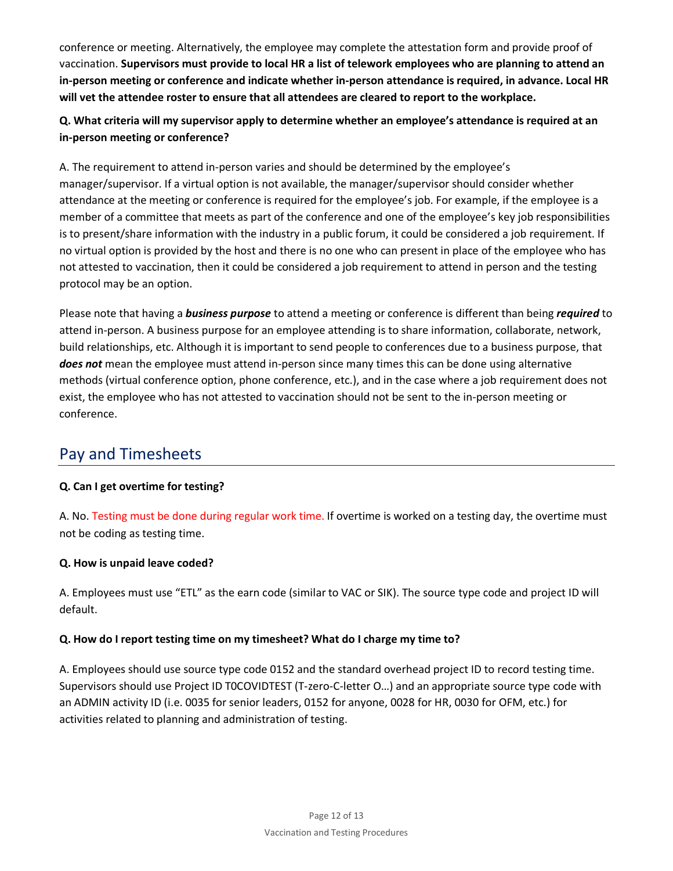conference or meeting. Alternatively, the employee may complete the attestation form and provide proof of vaccination. **Supervisors must provide to local HR a list of telework employees who are planning to attend an in-person meeting or conference and indicate whether in-person attendance is required, in advance. Local HR will vet the attendee roster to ensure that all attendees are cleared to report to the workplace.** 

### **Q. What criteria will my supervisor apply to determine whether an employee's attendance is required at an in-person meeting or conference?**

A. The requirement to attend in-person varies and should be determined by the employee's manager/supervisor. If a virtual option is not available, the manager/supervisor should consider whether attendance at the meeting or conference is required for the employee's job. For example, if the employee is a member of a committee that meets as part of the conference and one of the employee's key job responsibilities is to present/share information with the industry in a public forum, it could be considered a job requirement. If no virtual option is provided by the host and there is no one who can present in place of the employee who has not attested to vaccination, then it could be considered a job requirement to attend in person and the testing protocol may be an option.

Please note that having a *business purpose* to attend a meeting or conference is different than being *required* to attend in-person. A business purpose for an employee attending is to share information, collaborate, network, build relationships, etc. Although it is important to send people to conferences due to a business purpose, that *does not* mean the employee must attend in-person since many times this can be done using alternative methods (virtual conference option, phone conference, etc.), and in the case where a job requirement does not exist, the employee who has not attested to vaccination should not be sent to the in-person meeting or conference.

# Pay and Timesheets

### **Q. Can I get overtime for testing?**

A. No. Testing must be done during regular work time. If overtime is worked on a testing day, the overtime must not be coding as testing time.

### **Q. How is unpaid leave coded?**

A. Employees must use "ETL" as the earn code (similar to VAC or SIK). The source type code and project ID will default.

#### **Q. How do I report testing time on my timesheet? What do I charge my time to?**

A. Employees should use source type code 0152 and the standard overhead project ID to record testing time. Supervisors should use Project ID T0COVIDTEST (T-zero-C-letter O…) and an appropriate source type code with an ADMIN activity ID (i.e. 0035 for senior leaders, 0152 for anyone, 0028 for HR, 0030 for OFM, etc.) for activities related to planning and administration of testing.